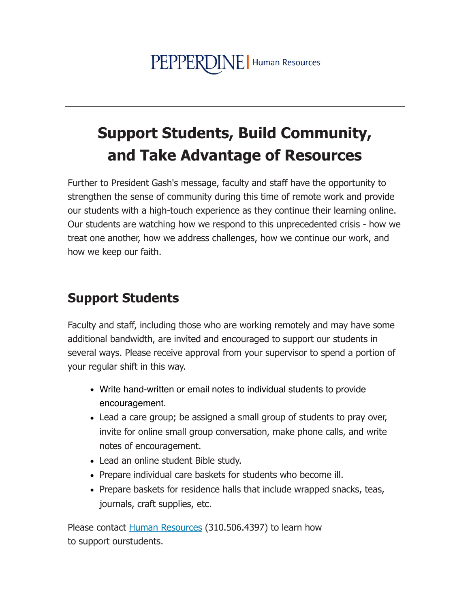## **Support Students, Build Community,** and Take Advantage of Resources

Further to President Gash's message, faculty and staff have the opportunity to strengthen the sense of community during this time of remote work and provide our students with a high-touch experience as they continue their learning online. Our students are watching how we respond to this unprecedented crisis - how we treat one another, how we address challenges, how we continue our work, and how we keep our faith.

## **Support Students**

Faculty and staff, including those who are working remotely and may have some additional bandwidth, are invited and encouraged to support our students in several ways. Please receive approval from your supervisor to spend a portion of your regular shift in this way.

- Write hand-written or email notes to individual students to provide encouragement.
- Lead a care group; be assigned a small group of students to pray over, invite for online small group conversation, make phone calls, and write notes of encouragement.
- Lead an online student Bible study.
- Prepare individual care baskets for students who become ill.
- Prepare baskets for residence halls that include wrapped snacks, teas, journals, craft supplies, etc.

Please contact Human Resources (310.506.4397) to learn how to support ourstudents.